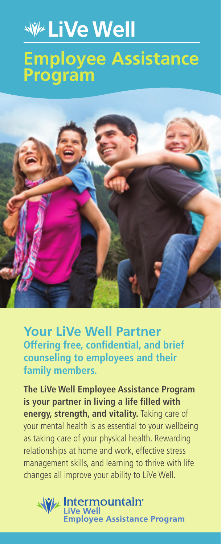## **WE LIVe Well Employee Assistance Program**



**Your LiVe Well Partner Offering free, confidential, and brief counseling to employees and their family members.**

**The LiVe Well Employee Assistance Program is your partner in living a life filled with energy, strength, and vitality.** Taking care of your mental health is as essential to your wellbeing as taking care of your physical health. Rewarding relationships at home and work, effective stress management skills, and learning to thrive with life changes all improve your ability to LiVe Well.

**W/ Intermountain Employee Assistance Program**